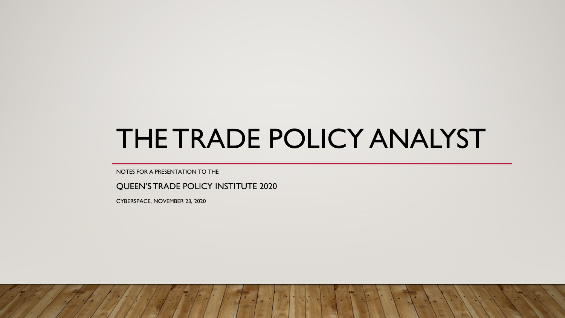# THE TRADE POLICY ANALYST

NOTES FOR A PRESENTATION TO THE

QUEEN'S TRADE POLICY INSTITUTE 2020

CYBERSPACE, NOVEMBER 23, 2020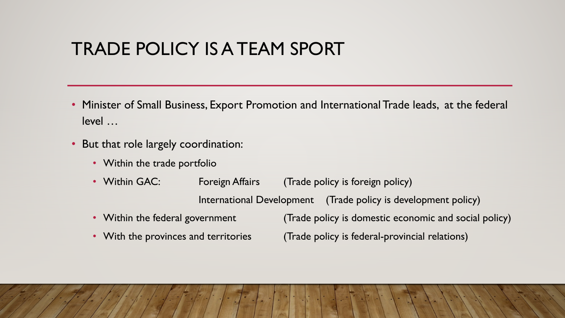## TRADE POLICY IS A TEAM SPORT

- Minister of Small Business, Export Promotion and International Trade leads, at the federal level …
- But that role largely coordination:
	- Within the trade portfolio
	- Within GAC: Foreign Affairs (Trade policy is foreign policy)

International Development (Trade policy is development policy)

- Within the federal government (Trade policy is domestic economic and social policy)
- 

• With the provinces and territories (Trade policy is federal-provincial relations)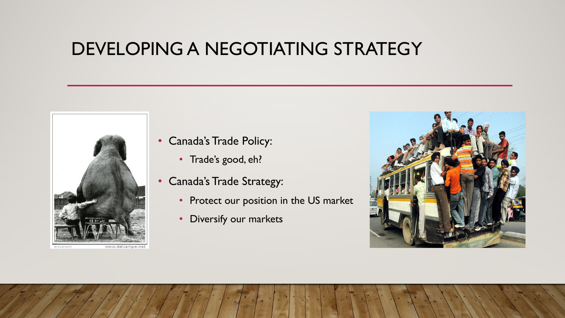#### DEVELOPING A NEGOTIATING STRATEGY



- Canada's Trade Policy:
	- Trade's good, eh?
- Canada's Trade Strategy:
	- Protect our position in the US market
	- Diversify our markets

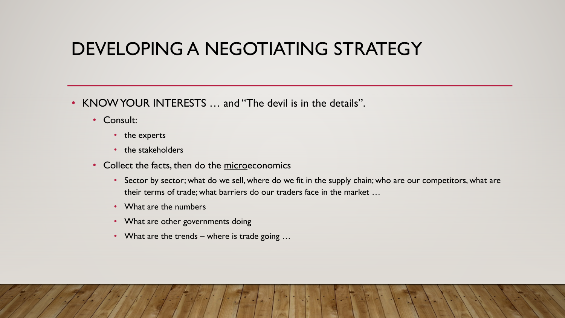### DEVELOPING A NEGOTIATING STRATEGY

- KNOW YOUR INTERESTS … and "The devil is in the details".
	- Consult:
		- the experts
		- the stakeholders
	- Collect the facts, then do the microeconomics
		- Sector by sector; what do we sell, where do we fit in the supply chain; who are our competitors, what are their terms of trade; what barriers do our traders face in the market …
		- What are the numbers
		- What are other governments doing
		- What are the trends where is trade going ...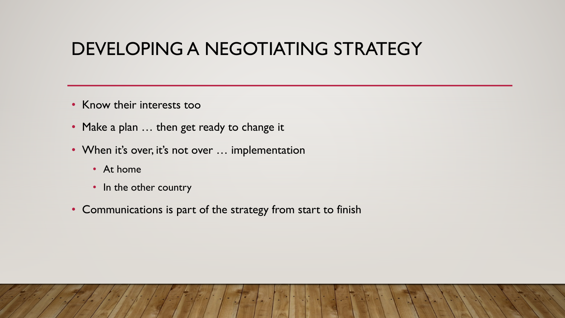### DEVELOPING A NEGOTIATING STRATEGY

- Know their interests too
- Make a plan ... then get ready to change it
- When it's over, it's not over ... implementation
	- At home
	- In the other country
- Communications is part of the strategy from start to finish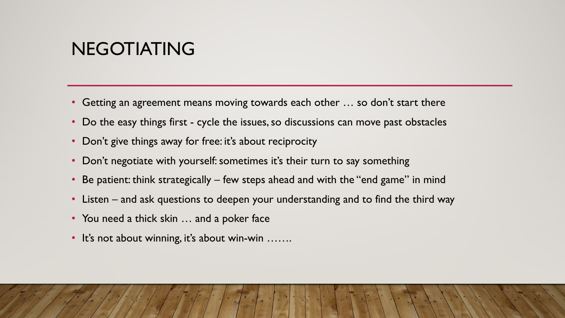#### NEGOTIATING

- Getting an agreement means moving towards each other ... so don't start there
- Do the easy things first cycle the issues, so discussions can move past obstacles
- Don't give things away for free: it's about reciprocity
- Don't negotiate with yourself: sometimes it's their turn to say something
- Be patient: think strategically few steps ahead and with the "end game" in mind
- Listen and ask questions to deepen your understanding and to find the third way
- You need a thick skin ... and a poker face
- It's not about winning, it's about win-win …….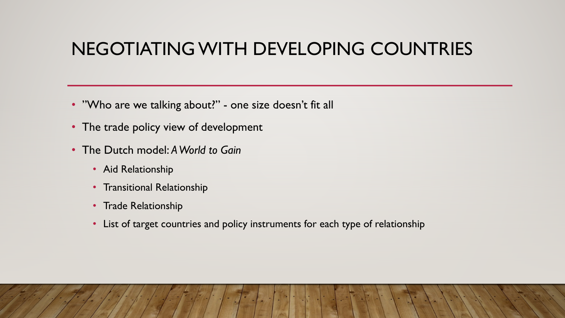## NEGOTIATING WITH DEVELOPING COUNTRIES

- "Who are we talking about?" one size doesn't fit all
- The trade policy view of development
- The Dutch model: *A World to Gain*
	- Aid Relationship
	- Transitional Relationship
	- Trade Relationship
	- List of target countries and policy instruments for each type of relationship